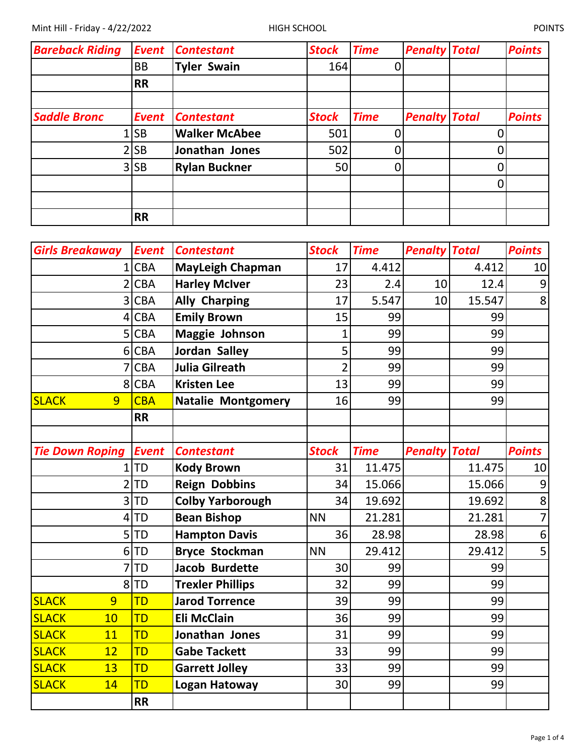| <b>Bareback Riding</b> | <b>Event</b> | <b>Contestant</b>    | <b>Stock</b> | <b>Time</b> | <b>Penalty Total</b> |   | <b>Points</b> |
|------------------------|--------------|----------------------|--------------|-------------|----------------------|---|---------------|
|                        | <b>BB</b>    | <b>Tyler Swain</b>   | 164          |             |                      |   |               |
|                        | <b>RR</b>    |                      |              |             |                      |   |               |
|                        |              |                      |              |             |                      |   |               |
| <b>Saddle Bronc</b>    | <b>Event</b> | <b>Contestant</b>    | <b>Stock</b> | <b>Time</b> | <b>Penalty Total</b> |   | <b>Points</b> |
|                        | .lsb         | <b>Walker McAbee</b> | 501          |             |                      |   |               |
|                        | 2 SB         | Jonathan Jones       | 502          |             |                      | 0 |               |
|                        | $3$ SB       | <b>Rylan Buckner</b> | 50           |             |                      | 0 |               |
|                        |              |                      |              |             |                      | 0 |               |
|                        |              |                      |              |             |                      |   |               |
|                        | <b>RR</b>    |                      |              |             |                      |   |               |

| <b>Girls Breakaway</b> | <b>Event</b> | <b>Contestant</b>         | <b>Stock</b>   | <b>Time</b> | <b>Penalty Total</b> |        | <b>Points</b>  |
|------------------------|--------------|---------------------------|----------------|-------------|----------------------|--------|----------------|
|                        | 1 CBA        | <b>MayLeigh Chapman</b>   | 17             | 4.412       |                      | 4.412  | 10             |
| $\overline{2}$         | <b>CBA</b>   | <b>Harley McIver</b>      | 23             | 2.4         | 10                   | 12.4   | 9              |
| 3                      | <b>CBA</b>   | <b>Ally Charping</b>      | 17             | 5.547       | 10                   | 15.547 | 8              |
| 4                      | <b>CBA</b>   | <b>Emily Brown</b>        | 15             | 99          |                      | 99     |                |
| 5                      | <b>CBA</b>   | Maggie Johnson            | $\overline{1}$ | 99          |                      | 99     |                |
| 6                      | <b>CBA</b>   | <b>Jordan Salley</b>      | 5              | 99          |                      | 99     |                |
| 7                      | <b>CBA</b>   | Julia Gilreath            | $\overline{2}$ | 99          |                      | 99     |                |
| 8                      | <b>CBA</b>   | <b>Kristen Lee</b>        | 13             | 99          |                      | 99     |                |
| <b>SLACK</b><br>9      | <b>CBA</b>   | <b>Natalie Montgomery</b> | 16             | 99          |                      | 99     |                |
|                        | <b>RR</b>    |                           |                |             |                      |        |                |
|                        |              |                           |                |             |                      |        |                |
| <b>Tie Down Roping</b> | <b>Event</b> | <b>Contestant</b>         | <b>Stock</b>   | <b>Time</b> | <b>Penalty Total</b> |        | <b>Points</b>  |
| 1                      | <b>ITD</b>   | <b>Kody Brown</b>         | 31             | 11.475      |                      | 11.475 | 10             |
| $\overline{2}$         | <b>TD</b>    | <b>Reign Dobbins</b>      | 34             | 15.066      |                      | 15.066 | 9              |
| 3                      | TD           | <b>Colby Yarborough</b>   | 34             | 19.692      |                      | 19.692 | 8              |
| 4                      | <b>TD</b>    | <b>Bean Bishop</b>        | <b>NN</b>      | 21.281      |                      | 21.281 | $\overline{7}$ |
| 5                      | TD           | <b>Hampton Davis</b>      | 36             | 28.98       |                      | 28.98  | 6              |
| 6                      | TD           | <b>Bryce Stockman</b>     | <b>NN</b>      | 29.412      |                      | 29.412 | 5              |
| 7                      | TD           | <b>Jacob Burdette</b>     | 30             | 99          |                      | 99     |                |
| 8                      | TD           | <b>Trexler Phillips</b>   | 32             | 99          |                      | 99     |                |
| 9<br><b>SLACK</b>      | <b>TD</b>    | <b>Jarod Torrence</b>     | 39             | 99          |                      | 99     |                |
| 10<br><b>SLACK</b>     | <b>TD</b>    | <b>Eli McClain</b>        | 36             | 99          |                      | 99     |                |
| <b>SLACK</b><br>11     | TD           | Jonathan Jones            | 31             | 99          |                      | 99     |                |
| <b>SLACK</b><br>12     | <b>TD</b>    | <b>Gabe Tackett</b>       | 33             | 99          |                      | 99     |                |
| <b>SLACK</b><br>13     | <b>TD</b>    | <b>Garrett Jolley</b>     | 33             | 99          |                      | 99     |                |
| <b>SLACK</b><br>14     | TD           | Logan Hatoway             | 30             | 99          |                      | 99     |                |
|                        | <b>RR</b>    |                           |                |             |                      |        |                |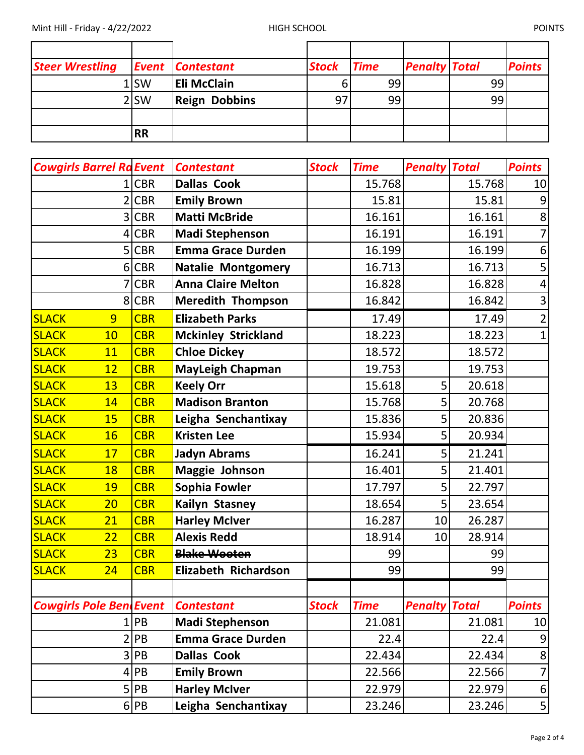| <b>Steer Wrestling</b> |                  | <b>Event Contestant</b> | <b>Stock</b> | <b>Time</b> | <b>Penalty Total</b> |    | <b>Points</b> |
|------------------------|------------------|-------------------------|--------------|-------------|----------------------|----|---------------|
|                        | $1$ SW           | <b>Eli McClain</b>      |              | 99          |                      | 99 |               |
|                        | 2 <sub>ISW</sub> | <b>Reign Dobbins</b>    | 97           | 99          |                      | 99 |               |
|                        |                  |                         |              |             |                      |    |               |
|                        | <b>RR</b>        |                         |              |             |                      |    |               |

| <b>Cowgirls Barrel Ra Event</b> |            | <b>Contestant</b>          | <b>Stock</b> | <b>Time</b> | <b>Penalty Total</b> |        | <b>Points</b>           |
|---------------------------------|------------|----------------------------|--------------|-------------|----------------------|--------|-------------------------|
| 1                               | <b>CBR</b> | <b>Dallas Cook</b>         |              | 15.768      |                      | 15.768 | 10                      |
|                                 | <b>CBR</b> | <b>Emily Brown</b>         |              | 15.81       |                      | 15.81  | $\overline{9}$          |
| 3                               | <b>CBR</b> | <b>Matti McBride</b>       |              | 16.161      |                      | 16.161 | $\bf 8$                 |
| 4                               | <b>CBR</b> | <b>Madi Stephenson</b>     |              | 16.191      |                      | 16.191 | $\overline{7}$          |
|                                 | 5 CBR      | <b>Emma Grace Durden</b>   |              | 16.199      |                      | 16.199 | $\boldsymbol{6}$        |
| 6                               | <b>CBR</b> | <b>Natalie Montgomery</b>  |              | 16.713      |                      | 16.713 | 5                       |
| 7                               | <b>CBR</b> | <b>Anna Claire Melton</b>  |              | 16.828      |                      | 16.828 | $\overline{\mathbf{4}}$ |
|                                 | 8 CBR      | <b>Meredith Thompson</b>   |              | 16.842      |                      | 16.842 | $\overline{\mathbf{3}}$ |
| <b>SLACK</b><br>9               | <b>CBR</b> | <b>Elizabeth Parks</b>     |              | 17.49       |                      | 17.49  | $\overline{2}$          |
| <b>SLACK</b><br>10              | <b>CBR</b> | <b>Mckinley Strickland</b> |              | 18.223      |                      | 18.223 | $\mathbf 1$             |
| <b>SLACK</b><br>11              | <b>CBR</b> | <b>Chloe Dickey</b>        |              | 18.572      |                      | 18.572 |                         |
| <b>SLACK</b><br>12              | <b>CBR</b> | <b>MayLeigh Chapman</b>    |              | 19.753      |                      | 19.753 |                         |
| <b>SLACK</b><br>13              | <b>CBR</b> | <b>Keely Orr</b>           |              | 15.618      | 5                    | 20.618 |                         |
| <b>SLACK</b><br>14              | <b>CBR</b> | <b>Madison Branton</b>     |              | 15.768      | 5                    | 20.768 |                         |
| <b>SLACK</b><br>15              | <b>CBR</b> | Leigha Senchantixay        |              | 15.836      | 5                    | 20.836 |                         |
| <b>SLACK</b><br><b>16</b>       | <b>CBR</b> | <b>Kristen Lee</b>         |              | 15.934      | 5                    | 20.934 |                         |
| <b>SLACK</b><br>17              | <b>CBR</b> | <b>Jadyn Abrams</b>        |              | 16.241      | 5                    | 21.241 |                         |
| <b>SLACK</b><br>18              | <b>CBR</b> | <b>Maggie Johnson</b>      |              | 16.401      | 5                    | 21.401 |                         |
| <b>SLACK</b><br>19              | <b>CBR</b> | Sophia Fowler              |              | 17.797      | 5                    | 22.797 |                         |
| <b>SLACK</b><br>20              | <b>CBR</b> | Kailyn Stasney             |              | 18.654      | 5                    | 23.654 |                         |
| <b>SLACK</b><br>21              | <b>CBR</b> | <b>Harley McIver</b>       |              | 16.287      | 10                   | 26.287 |                         |
| <b>SLACK</b><br>22              | <b>CBR</b> | <b>Alexis Redd</b>         |              | 18.914      | 10                   | 28.914 |                         |
| <b>SLACK</b><br>23              | <b>CBR</b> | <b>Blake Wooten</b>        |              | 99          |                      | 99     |                         |
| <b>SLACK</b><br>24              | <b>CBR</b> | Elizabeth Richardson       |              | 99          |                      | 99     |                         |
|                                 |            |                            |              |             |                      |        |                         |
| <b>Cowgirls Pole BendEvent</b>  |            | <b>Contestant</b>          | <b>Stock</b> | <b>Time</b> | <b>Penalty Total</b> |        | <b>Points</b>           |
| 1                               | PB         | <b>Madi Stephenson</b>     |              | 21.081      |                      | 21.081 | 10                      |
|                                 | PB         | <b>Emma Grace Durden</b>   |              | 22.4        |                      | 22.4   | $\overline{9}$          |
| 3                               | PB         | <b>Dallas Cook</b>         |              | 22.434      |                      | 22.434 | 8                       |
| 4                               | PB         | <b>Emily Brown</b>         |              | 22.566      |                      | 22.566 | $\overline{7}$          |
| 5                               | PB         | <b>Harley McIver</b>       |              | 22.979      |                      | 22.979 | 6                       |
|                                 | $6$ PB     | Leigha Senchantixay        |              | 23.246      |                      | 23.246 | 5                       |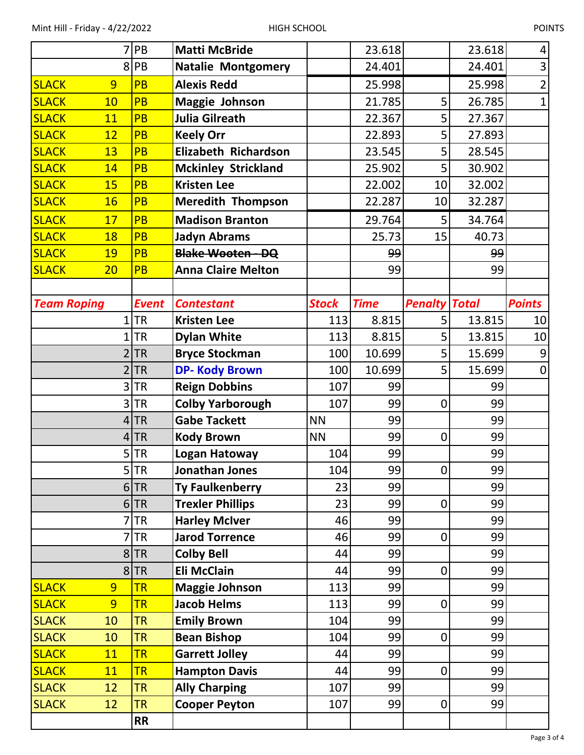|                                | 7 PB                | <b>Matti McBride</b>                          |              | 23.618      |                      | 23.618   | 4              |
|--------------------------------|---------------------|-----------------------------------------------|--------------|-------------|----------------------|----------|----------------|
|                                | 8PB                 | <b>Natalie Montgomery</b>                     |              | 24.401      |                      | 24.401   | 3              |
| <b>SLACK</b><br>9              | <b>PB</b>           | <b>Alexis Redd</b>                            |              | 25.998      |                      | 25.998   | $\overline{2}$ |
| <b>SLACK</b><br>10             | <b>PB</b>           | Maggie Johnson                                |              | 21.785      | 5                    | 26.785   | $\overline{1}$ |
| <b>SLACK</b><br>11             | <b>PB</b>           | <b>Julia Gilreath</b>                         |              | 22.367      | 5                    | 27.367   |                |
| <b>SLACK</b><br>12             | PB                  | <b>Keely Orr</b>                              |              | 22.893      | 5                    | 27.893   |                |
| <b>SLACK</b><br>13             | <b>PB</b>           | <b>Elizabeth Richardson</b>                   |              | 23.545      | 5                    | 28.545   |                |
| <b>SLACK</b><br>14             | <b>PB</b>           | <b>Mckinley Strickland</b>                    |              | 25.902      | 5                    | 30.902   |                |
| <b>SLACK</b><br>15             | <b>PB</b>           | <b>Kristen Lee</b>                            |              | 22.002      | 10                   | 32.002   |                |
| <b>SLACK</b><br><b>16</b>      | <b>PB</b>           | <b>Meredith Thompson</b>                      |              | 22.287      | 10                   | 32.287   |                |
| <b>SLACK</b><br>17             | <b>PB</b>           | <b>Madison Branton</b>                        |              | 29.764      | 5                    | 34.764   |                |
| <b>SLACK</b><br>18             | <b>PB</b>           | <b>Jadyn Abrams</b>                           |              | 25.73       | 15                   | 40.73    |                |
| <b>SLACK</b><br><b>19</b>      | <b>PB</b>           | <b>Blake Wooten - DQ</b>                      |              | 99          |                      | 99       |                |
| <b>SLACK</b><br>20             | <b>PB</b>           | <b>Anna Claire Melton</b>                     |              | 99          |                      | 99       |                |
|                                |                     |                                               |              |             |                      |          |                |
| <b>Team Roping</b>             | <b>Event</b>        | <b>Contestant</b>                             | <b>Stock</b> | <b>Time</b> | <b>Penalty Total</b> |          | <b>Points</b>  |
| $\overline{1}$                 | <b>TR</b>           | <b>Kristen Lee</b>                            | 113          | 8.815       | 5                    | 13.815   | 10             |
|                                | ΤR                  | <b>Dylan White</b>                            | 113          | 8.815       | 5                    | 13.815   | 10             |
|                                | $2$ TR              | <b>Bryce Stockman</b>                         | 100          | 10.699      | 5                    | 15.699   | 9              |
|                                | $2$ TR              | <b>DP-Kody Brown</b>                          | 100          | 10.699      | 5                    | 15.699   | $\overline{0}$ |
|                                | $3$ TR              | <b>Reign Dobbins</b>                          | 107          | 99          |                      | 99       |                |
|                                | $3$ TR              | <b>Colby Yarborough</b>                       | 107          | 99          | $\mathbf 0$          | 99       |                |
|                                | $4$ TR              | <b>Gabe Tackett</b>                           | <b>NN</b>    | 99          |                      | 99       |                |
|                                | 4 TR                | <b>Kody Brown</b>                             | <b>NN</b>    | 99          | 0                    | 99       |                |
|                                | 5 TR                | Logan Hatoway                                 | 104          | 99          |                      | 99       |                |
|                                | 5 TR                | Jonathan Jones                                | 104          | 99          | $\mathbf 0$          | 99       |                |
|                                | $6$ TR              | <b>Ty Faulkenberry</b>                        | 23           | 99          |                      | 99       |                |
|                                | $6$ TR              | <b>Trexler Phillips</b>                       | 23           | 99          | $\boldsymbol{0}$     | 99       |                |
|                                | <b>TR</b>           | <b>Harley McIver</b><br><b>Jarod Torrence</b> | 46<br>46     | 99          |                      | 99<br>99 |                |
|                                | <b>TR</b><br>$8$ TR | <b>Colby Bell</b>                             | 44           | 99<br>99    | $\boldsymbol{0}$     | 99       |                |
|                                | 8TR                 | <b>Eli McClain</b>                            | 44           | 99          | $\boldsymbol{0}$     | 99       |                |
| <b>SLACK</b><br>9              | <b>TR</b>           | <b>Maggie Johnson</b>                         | 113          | 99          |                      | 99       |                |
| $\overline{9}$<br><b>SLACK</b> | <b>TR</b>           | <b>Jacob Helms</b>                            | 113          | 99          | $\boldsymbol{0}$     | 99       |                |
| <b>SLACK</b><br>10             | <b>TR</b>           | <b>Emily Brown</b>                            | 104          | 99          |                      | 99       |                |
| <b>SLACK</b><br>10             | <b>TR</b>           | <b>Bean Bishop</b>                            | 104          | 99          | $\mathbf 0$          | 99       |                |
| <b>SLACK</b><br>11             | <b>TR</b>           | <b>Garrett Jolley</b>                         | 44           | 99          |                      | 99       |                |
| <b>SLACK</b><br>11             | <b>TR</b>           | <b>Hampton Davis</b>                          | 44           | 99          | $\mathbf 0$          | 99       |                |
| <b>SLACK</b><br>12             | <b>TR</b>           | <b>Ally Charping</b>                          | 107          | 99          |                      | 99       |                |
| <b>SLACK</b><br>12             | <b>TR</b>           | <b>Cooper Peyton</b>                          | 107          | 99          | $\pmb{0}$            | 99       |                |
|                                | <b>RR</b>           |                                               |              |             |                      |          |                |